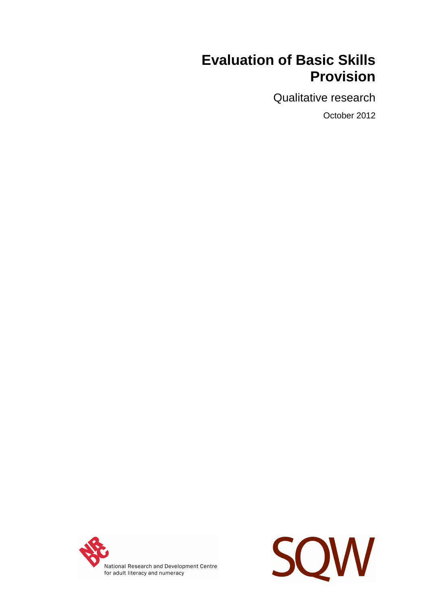# **Evaluation of Basic Skills Provision**

Qualitative research

October 2012



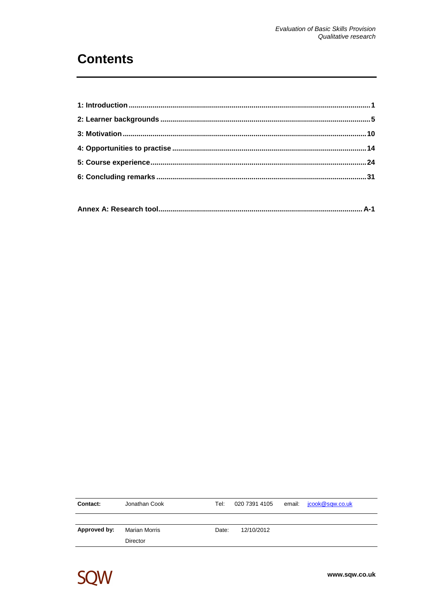# **Contents**

| Contact:     | Jonathan Cook | Tel:  |            | 020 7391 4105 email: jcook@sqw.co.uk |
|--------------|---------------|-------|------------|--------------------------------------|
|              |               |       |            |                                      |
| Approved by: | Marian Morris | Date: | 12/10/2012 |                                      |
|              | Director      |       |            |                                      |

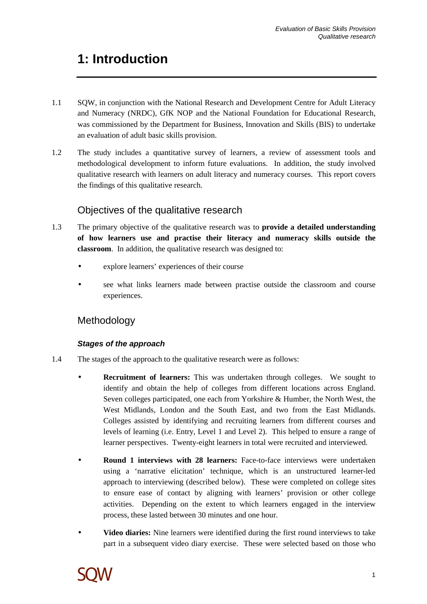# **1: Introduction**

- 1.1 SQW, in conjunction with the National Research and Development Centre for Adult Literacy and Numeracy (NRDC), GfK NOP and the National Foundation for Educational Research, was commissioned by the Department for Business, Innovation and Skills (BIS) to undertake an evaluation of adult basic skills provision.
- 1.2 The study includes a quantitative survey of learners, a review of assessment tools and methodological development to inform future evaluations. In addition, the study involved qualitative research with learners on adult literacy and numeracy courses. This report covers the findings of this qualitative research.

# Objectives of the qualitative research

- 1.3 The primary objective of the qualitative research was to **provide a detailed understanding of how learners use and practise their literacy and numeracy skills outside the classroom**. In addition, the qualitative research was designed to:
	- explore learners' experiences of their course
	- see what links learners made between practise outside the classroom and course experiences.

# Methodology

### **Stages of the approach**

- 1.4 The stages of the approach to the qualitative research were as follows:
	- **Recruitment of learners:** This was undertaken through colleges. We sought to identify and obtain the help of colleges from different locations across England. Seven colleges participated, one each from Yorkshire & Humber, the North West, the West Midlands, London and the South East, and two from the East Midlands. Colleges assisted by identifying and recruiting learners from different courses and levels of learning (i.e. Entry, Level 1 and Level 2). This helped to ensure a range of learner perspectives. Twenty-eight learners in total were recruited and interviewed.
	- **Round 1 interviews with 28 learners:** Face-to-face interviews were undertaken using a 'narrative elicitation' technique, which is an unstructured learner-led approach to interviewing (described below). These were completed on college sites to ensure ease of contact by aligning with learners' provision or other college activities. Depending on the extent to which learners engaged in the interview process, these lasted between 30 minutes and one hour.
	- **Video diaries:** Nine learners were identified during the first round interviews to take part in a subsequent video diary exercise. These were selected based on those who

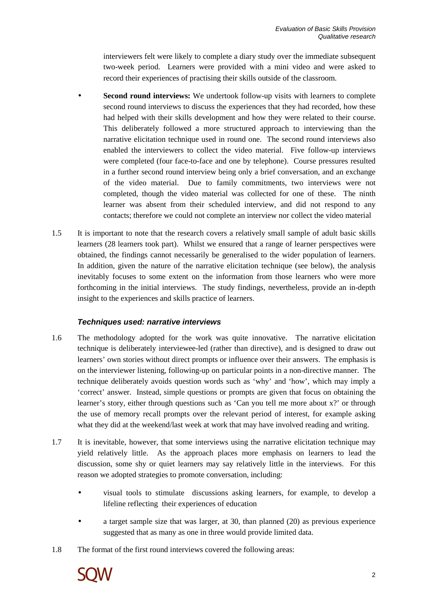interviewers felt were likely to complete a diary study over the immediate subsequent two-week period. Learners were provided with a mini video and were asked to record their experiences of practising their skills outside of the classroom.

- **Second round interviews:** We undertook follow-up visits with learners to complete second round interviews to discuss the experiences that they had recorded, how these had helped with their skills development and how they were related to their course. This deliberately followed a more structured approach to interviewing than the narrative elicitation technique used in round one. The second round interviews also enabled the interviewers to collect the video material. Five follow-up interviews were completed (four face-to-face and one by telephone). Course pressures resulted in a further second round interview being only a brief conversation, and an exchange of the video material. Due to family commitments, two interviews were not completed, though the video material was collected for one of these. The ninth learner was absent from their scheduled interview, and did not respond to any contacts; therefore we could not complete an interview nor collect the video material
- 1.5 It is important to note that the research covers a relatively small sample of adult basic skills learners (28 learners took part). Whilst we ensured that a range of learner perspectives were obtained, the findings cannot necessarily be generalised to the wider population of learners. In addition, given the nature of the narrative elicitation technique (see below), the analysis inevitably focuses to some extent on the information from those learners who were more forthcoming in the initial interviews. The study findings, nevertheless, provide an in-depth insight to the experiences and skills practice of learners.

#### **Techniques used: narrative interviews**

- 1.6 The methodology adopted for the work was quite innovative. The narrative elicitation technique is deliberately interviewee-led (rather than directive), and is designed to draw out learners' own stories without direct prompts or influence over their answers. The emphasis is on the interviewer listening, following-up on particular points in a non-directive manner. The technique deliberately avoids question words such as 'why' and 'how', which may imply a 'correct' answer. Instead, simple questions or prompts are given that focus on obtaining the learner's story, either through questions such as 'Can you tell me more about x?' or through the use of memory recall prompts over the relevant period of interest, for example asking what they did at the weekend/last week at work that may have involved reading and writing.
- 1.7 It is inevitable, however, that some interviews using the narrative elicitation technique may yield relatively little. As the approach places more emphasis on learners to lead the discussion, some shy or quiet learners may say relatively little in the interviews. For this reason we adopted strategies to promote conversation, including:
	- visual tools to stimulate discussions asking learners, for example, to develop a lifeline reflecting their experiences of education
	- a target sample size that was larger, at 30, than planned (20) as previous experience suggested that as many as one in three would provide limited data.
- 1.8 The format of the first round interviews covered the following areas:

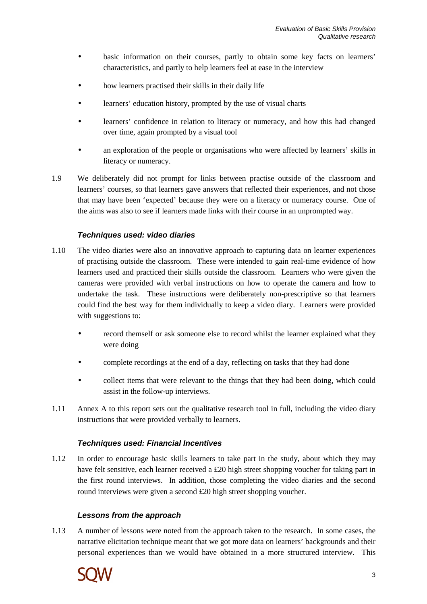- basic information on their courses, partly to obtain some key facts on learners' characteristics, and partly to help learners feel at ease in the interview
- how learners practised their skills in their daily life
- learners' education history, prompted by the use of visual charts
- learners' confidence in relation to literacy or numeracy, and how this had changed over time, again prompted by a visual tool
- an exploration of the people or organisations who were affected by learners' skills in literacy or numeracy.
- 1.9 We deliberately did not prompt for links between practise outside of the classroom and learners' courses, so that learners gave answers that reflected their experiences, and not those that may have been 'expected' because they were on a literacy or numeracy course. One of the aims was also to see if learners made links with their course in an unprompted way.

#### **Techniques used: video diaries**

- 1.10 The video diaries were also an innovative approach to capturing data on learner experiences of practising outside the classroom. These were intended to gain real-time evidence of how learners used and practiced their skills outside the classroom. Learners who were given the cameras were provided with verbal instructions on how to operate the camera and how to undertake the task. These instructions were deliberately non-prescriptive so that learners could find the best way for them individually to keep a video diary. Learners were provided with suggestions to:
	- record themself or ask someone else to record whilst the learner explained what they were doing
	- complete recordings at the end of a day, reflecting on tasks that they had done
	- collect items that were relevant to the things that they had been doing, which could assist in the follow-up interviews.
- 1.11 Annex A to this report sets out the qualitative research tool in full, including the video diary instructions that were provided verbally to learners.

#### **Techniques used: Financial Incentives**

1.12 In order to encourage basic skills learners to take part in the study, about which they may have felt sensitive, each learner received a £20 high street shopping voucher for taking part in the first round interviews. In addition, those completing the video diaries and the second round interviews were given a second £20 high street shopping voucher.

#### **Lessons from the approach**

1.13 A number of lessons were noted from the approach taken to the research. In some cases, the narrative elicitation technique meant that we got more data on learners' backgrounds and their personal experiences than we would have obtained in a more structured interview. This

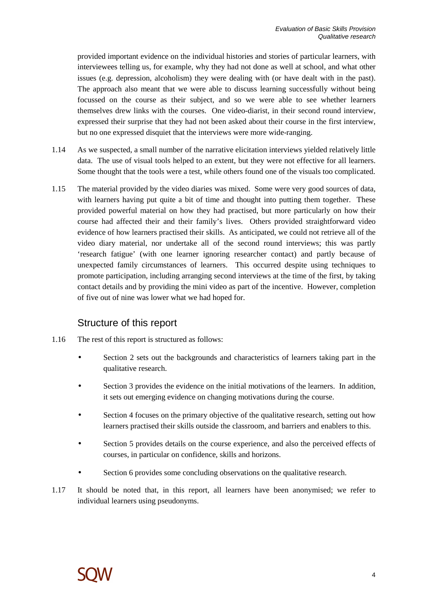provided important evidence on the individual histories and stories of particular learners, with interviewees telling us, for example, why they had not done as well at school, and what other issues (e.g. depression, alcoholism) they were dealing with (or have dealt with in the past). The approach also meant that we were able to discuss learning successfully without being focussed on the course as their subject, and so we were able to see whether learners themselves drew links with the courses. One video-diarist, in their second round interview, expressed their surprise that they had not been asked about their course in the first interview, but no one expressed disquiet that the interviews were more wide-ranging.

- 1.14 As we suspected, a small number of the narrative elicitation interviews yielded relatively little data. The use of visual tools helped to an extent, but they were not effective for all learners. Some thought that the tools were a test, while others found one of the visuals too complicated.
- 1.15 The material provided by the video diaries was mixed. Some were very good sources of data, with learners having put quite a bit of time and thought into putting them together. These provided powerful material on how they had practised, but more particularly on how their course had affected their and their family's lives. Others provided straightforward video evidence of how learners practised their skills. As anticipated, we could not retrieve all of the video diary material, nor undertake all of the second round interviews; this was partly 'research fatigue' (with one learner ignoring researcher contact) and partly because of unexpected family circumstances of learners. This occurred despite using techniques to promote participation, including arranging second interviews at the time of the first, by taking contact details and by providing the mini video as part of the incentive. However, completion of five out of nine was lower what we had hoped for.

## Structure of this report

- 1.16 The rest of this report is structured as follows:
	- Section 2 sets out the backgrounds and characteristics of learners taking part in the qualitative research.
	- Section 3 provides the evidence on the initial motivations of the learners. In addition, it sets out emerging evidence on changing motivations during the course.
	- Section 4 focuses on the primary objective of the qualitative research, setting out how learners practised their skills outside the classroom, and barriers and enablers to this.
	- Section 5 provides details on the course experience, and also the perceived effects of courses, in particular on confidence, skills and horizons.
	- Section 6 provides some concluding observations on the qualitative research.
- 1.17 It should be noted that, in this report, all learners have been anonymised; we refer to individual learners using pseudonyms.

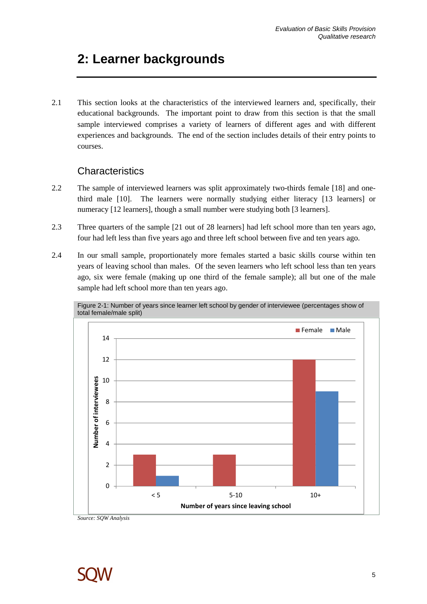# **2: Learner backgrounds**

2.1 This section looks at the characteristics of the interviewed learners and, specifically, their educational backgrounds. The important point to draw from this section is that the small sample interviewed comprises a variety of learners of different ages and with different experiences and backgrounds. The end of the section includes details of their entry points to courses.

## **Characteristics**

- 2.2 The sample of interviewed learners was split approximately two-thirds female [18] and onethird male [10]. The learners were normally studying either literacy [13 learners] or numeracy [12 learners], though a small number were studying both [3 learners].
- 2.3 Three quarters of the sample [21 out of 28 learners] had left school more than ten years ago, four had left less than five years ago and three left school between five and ten years ago.
- 2.4 In our small sample, proportionately more females started a basic skills course within ten years of leaving school than males. Of the seven learners who left school less than ten years ago, six were female (making up one third of the female sample); all but one of the male sample had left school more than ten years ago.



Figure 2-1: Number of years since learner left school by gender of interviewee (percentages show of total female/male split)

*Source: SQW Analysis* 

![](_page_6_Picture_10.jpeg)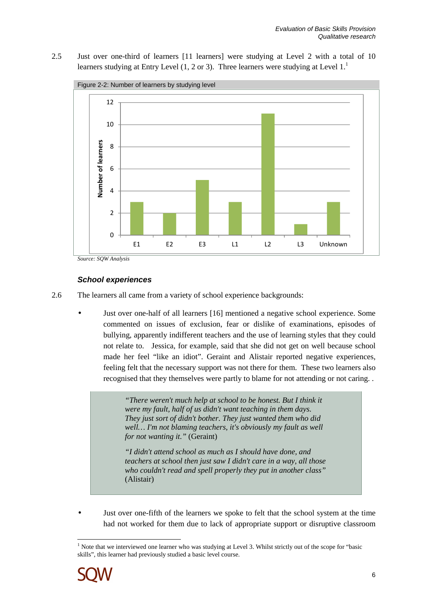2.5 Just over one-third of learners [11 learners] were studying at Level 2 with a total of 10 learners studying at Entry Level (1, 2 or 3). Three learners were studying at Level  $1<sup>1</sup>$ 

![](_page_7_Figure_2.jpeg)

*Source: SQW Analysis* 

#### **School experiences**

2.6 The learners all came from a variety of school experience backgrounds:

• Just over one-half of all learners [16] mentioned a negative school experience. Some commented on issues of exclusion, fear or dislike of examinations, episodes of bullying, apparently indifferent teachers and the use of learning styles that they could not relate to. Jessica, for example, said that she did not get on well because school made her feel "like an idiot". Geraint and Alistair reported negative experiences, feeling felt that the necessary support was not there for them. These two learners also recognised that they themselves were partly to blame for not attending or not caring. .

> *"There weren't much help at school to be honest. But I think it were my fault, half of us didn't want teaching in them days. They just sort of didn't bother. They just wanted them who did well… I'm not blaming teachers, it's obviously my fault as well for not wanting it."* (Geraint)

> *"I didn't attend school as much as I should have done, and teachers at school then just saw I didn't care in a way, all those who couldn't read and spell properly they put in another class"*  (Alistair)

• Just over one-fifth of the learners we spoke to felt that the school system at the time had not worked for them due to lack of appropriate support or disruptive classroom

 $\overline{a}$ <sup>1</sup> Note that we interviewed one learner who was studying at Level 3. Whilst strictly out of the scope for "basic skills", this learner had previously studied a basic level course.

![](_page_7_Picture_11.jpeg)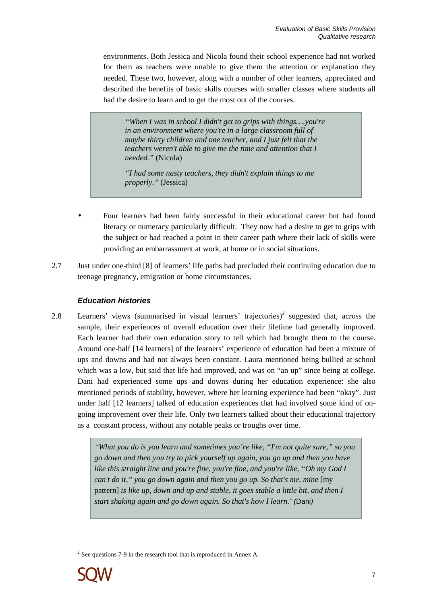environments. Both Jessica and Nicola found their school experience had not worked for them as teachers were unable to give them the attention or explanation they needed. These two, however, along with a number of other learners, appreciated and described the benefits of basic skills courses with smaller classes where students all had the desire to learn and to get the most out of the courses.

*"When I was in school I didn't get to grips with things….you're in an environment where you're in a large classroom full of maybe thirty children and one teacher, and I just felt that the teachers weren't able to give me the time and attention that I needed."* (Nicola)

*"I had some nasty teachers, they didn't explain things to me properly."* (Jessica)

- Four learners had been fairly successful in their educational career but had found literacy or numeracy particularly difficult. They now had a desire to get to grips with the subject or had reached a point in their career path where their lack of skills were providing an embarrassment at work, at home or in social situations.
- 2.7 Just under one-third [8] of learners' life paths had precluded their continuing education due to teenage pregnancy, emigration or home circumstances.

### **Education histories**

2.8 Learners' views (summarised in visual learners' trajectories)<sup>2</sup> suggested that, across the sample, their experiences of overall education over their lifetime had generally improved. Each learner had their own education story to tell which had brought them to the course. Around one-half [14 learners] of the learners' experience of education had been a mixture of ups and downs and had not always been constant. Laura mentioned being bullied at school which was a low, but said that life had improved, and was on "an up" since being at college. Dani had experienced some ups and downs during her education experience: she also mentioned periods of stability, however, where her learning experience had been "okay". Just under half [12 learners] talked of education experiences that had involved some kind of ongoing improvement over their life. Only two learners talked about their educational trajectory as a constant process, without any notable peaks or troughs over time.

> "*What you do is you learn and sometimes you're like, "I'm not quite sure," so you go down and then you try to pick yourself up again, you go up and then you have like this straight line and you're fine, you're fine, and you're like, "Oh my God I can't do it," you go down again and then you go up. So that's me, mine* [my pattern] *is like up, down and up and stable, it goes stable a little bit, and then I start shaking again and go down again. So that's how I learn*." (Dani)

<sup>&</sup>lt;sup>2</sup> See questions 7-9 in the research tool that is reproduced in Annex A.

![](_page_8_Picture_10.jpeg)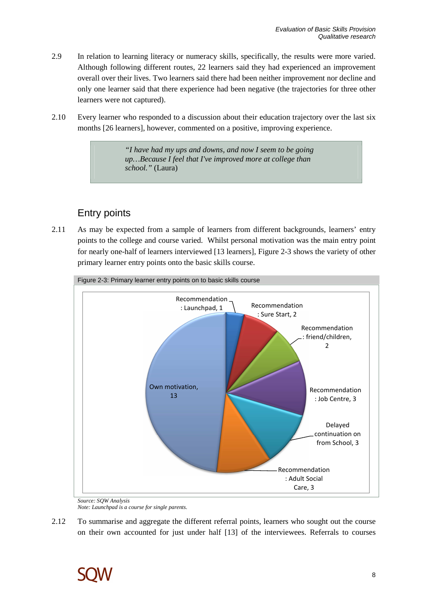- 2.9 In relation to learning literacy or numeracy skills, specifically, the results were more varied. Although following different routes, 22 learners said they had experienced an improvement overall over their lives. Two learners said there had been neither improvement nor decline and only one learner said that there experience had been negative (the trajectories for three other learners were not captured).
- 2.10 Every learner who responded to a discussion about their education trajectory over the last six months [26 learners], however, commented on a positive, improving experience.

*"I have had my ups and downs, and now I seem to be going up…Because I feel that I've improved more at college than school."* (Laura)

# Entry points

2.11 As may be expected from a sample of learners from different backgrounds, learners' entry points to the college and course varied. Whilst personal motivation was the main entry point for nearly one-half of learners interviewed [13 learners], Figure 2-3 shows the variety of other primary learner entry points onto the basic skills course.

![](_page_9_Figure_6.jpeg)

*Source: SQW Analysis Note: Launchpad is a course for single parents.* 

2.12 To summarise and aggregate the different referral points, learners who sought out the course on their own accounted for just under half [13] of the interviewees. Referrals to courses

![](_page_9_Picture_9.jpeg)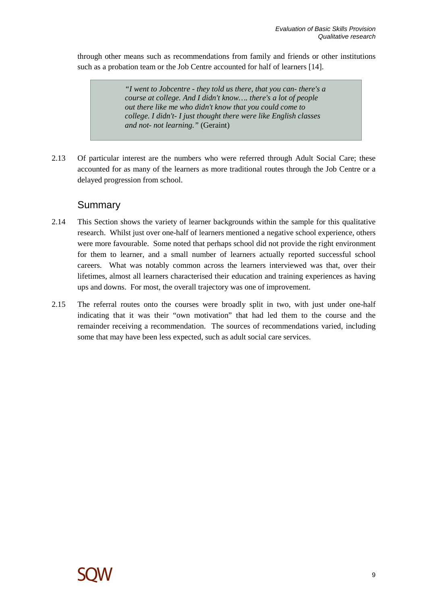through other means such as recommendations from family and friends or other institutions such as a probation team or the Job Centre accounted for half of learners [14].

> *"I went to Jobcentre - they told us there, that you can- there's a course at college. And I didn't know…. there's a lot of people out there like me who didn't know that you could come to college. I didn't- I just thought there were like English classes and not- not learning."* (Geraint)

2.13 Of particular interest are the numbers who were referred through Adult Social Care; these accounted for as many of the learners as more traditional routes through the Job Centre or a delayed progression from school.

### Summary

- 2.14 This Section shows the variety of learner backgrounds within the sample for this qualitative research. Whilst just over one-half of learners mentioned a negative school experience, others were more favourable. Some noted that perhaps school did not provide the right environment for them to learner, and a small number of learners actually reported successful school careers. What was notably common across the learners interviewed was that, over their lifetimes, almost all learners characterised their education and training experiences as having ups and downs. For most, the overall trajectory was one of improvement.
- 2.15 The referral routes onto the courses were broadly split in two, with just under one-half indicating that it was their "own motivation" that had led them to the course and the remainder receiving a recommendation. The sources of recommendations varied, including some that may have been less expected, such as adult social care services.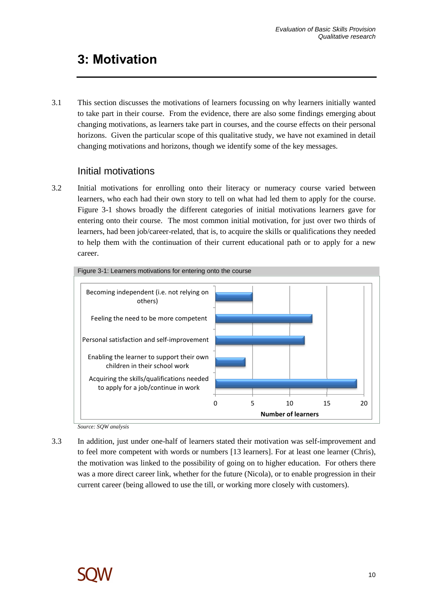# **3: Motivation**

3.1 This section discusses the motivations of learners focussing on why learners initially wanted to take part in their course. From the evidence, there are also some findings emerging about changing motivations, as learners take part in courses, and the course effects on their personal horizons. Given the particular scope of this qualitative study, we have not examined in detail changing motivations and horizons, though we identify some of the key messages.

## Initial motivations

3.2 Initial motivations for enrolling onto their literacy or numeracy course varied between learners, who each had their own story to tell on what had led them to apply for the course. Figure 3-1 shows broadly the different categories of initial motivations learners gave for entering onto their course. The most common initial motivation, for just over two thirds of learners, had been job/career-related, that is, to acquire the skills or qualifications they needed to help them with the continuation of their current educational path or to apply for a new career.

![](_page_11_Figure_5.jpeg)

*Source: SQW analysis* 

3.3 In addition, just under one-half of learners stated their motivation was self-improvement and to feel more competent with words or numbers [13 learners]. For at least one learner (Chris), the motivation was linked to the possibility of going on to higher education. For others there was a more direct career link, whether for the future (Nicola), or to enable progression in their current career (being allowed to use the till, or working more closely with customers).

![](_page_11_Picture_8.jpeg)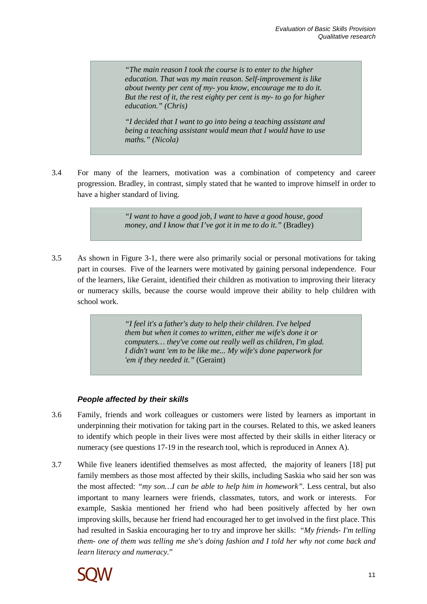*"The main reason I took the course is to enter to the higher education. That was my main reason. Self-improvement is like about twenty per cent of my- you know, encourage me to do it. But the rest of it, the rest eighty per cent is my- to go for higher education." (Chris)* 

*"I decided that I want to go into being a teaching assistant and being a teaching assistant would mean that I would have to use maths." (Nicola)* 

3.4 For many of the learners, motivation was a combination of competency and career progression. Bradley, in contrast, simply stated that he wanted to improve himself in order to have a higher standard of living.

> *"I want to have a good job, I want to have a good house, good money, and I know that I've got it in me to do it."* (Bradley)

3.5 As shown in Figure 3-1, there were also primarily social or personal motivations for taking part in courses. Five of the learners were motivated by gaining personal independence. Four of the learners, like Geraint, identified their children as motivation to improving their literacy or numeracy skills, because the course would improve their ability to help children with school work.

> *"I feel it's a father's duty to help their children. I've helped them but when it comes to written, either me wife's done it or computers… they've come out really well as children, I'm glad. I didn't want 'em to be like me... My wife's done paperwork for 'em if they needed it."* (Geraint)

#### **People affected by their skills**

- 3.6 Family, friends and work colleagues or customers were listed by learners as important in underpinning their motivation for taking part in the courses. Related to this, we asked leaners to identify which people in their lives were most affected by their skills in either literacy or numeracy (see questions 17-19 in the research tool, which is reproduced in Annex A).
- 3.7 While five leaners identified themselves as most affected, the majority of leaners [18] put family members as those most affected by their skills, including Saskia who said her son was the most affected: *"my son…I can be able to help him in homework".* Less central, but also important to many learners were friends, classmates, tutors, and work or interests. For example, Saskia mentioned her friend who had been positively affected by her own improving skills, because her friend had encouraged her to get involved in the first place. This had resulted in Saskia encouraging her to try and improve her skills: "*My friends- I'm telling them- one of them was telling me she's doing fashion and I told her why not come back and learn literacy and numeracy.*"

![](_page_12_Picture_10.jpeg)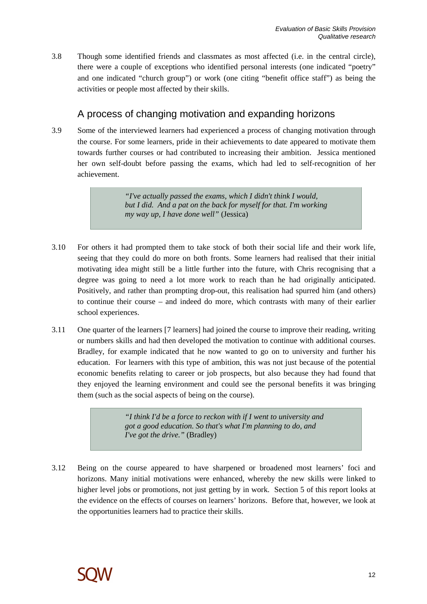3.8 Though some identified friends and classmates as most affected (i.e. in the central circle), there were a couple of exceptions who identified personal interests (one indicated "poetry" and one indicated "church group") or work (one citing "benefit office staff") as being the activities or people most affected by their skills.

# A process of changing motivation and expanding horizons

3.9 Some of the interviewed learners had experienced a process of changing motivation through the course. For some learners, pride in their achievements to date appeared to motivate them towards further courses or had contributed to increasing their ambition. Jessica mentioned her own self-doubt before passing the exams, which had led to self-recognition of her achievement.

> *"I've actually passed the exams, which I didn't think I would, but I did. And a pat on the back for myself for that. I'm working my way up, I have done well"* (Jessica)

- 3.10 For others it had prompted them to take stock of both their social life and their work life, seeing that they could do more on both fronts. Some learners had realised that their initial motivating idea might still be a little further into the future, with Chris recognising that a degree was going to need a lot more work to reach than he had originally anticipated. Positively, and rather than prompting drop-out, this realisation had spurred him (and others) to continue their course – and indeed do more, which contrasts with many of their earlier school experiences.
- 3.11 One quarter of the learners [7 learners] had joined the course to improve their reading, writing or numbers skills and had then developed the motivation to continue with additional courses. Bradley, for example indicated that he now wanted to go on to university and further his education. For learners with this type of ambition, this was not just because of the potential economic benefits relating to career or job prospects, but also because they had found that they enjoyed the learning environment and could see the personal benefits it was bringing them (such as the social aspects of being on the course).

*"I think I'd be a force to reckon with if I went to university and got a good education. So that's what I'm planning to do, and I've got the drive."* (Bradley)

3.12 Being on the course appeared to have sharpened or broadened most learners' foci and horizons. Many initial motivations were enhanced, whereby the new skills were linked to higher level jobs or promotions, not just getting by in work. Section 5 of this report looks at the evidence on the effects of courses on learners' horizons. Before that, however, we look at the opportunities learners had to practice their skills.

![](_page_13_Picture_9.jpeg)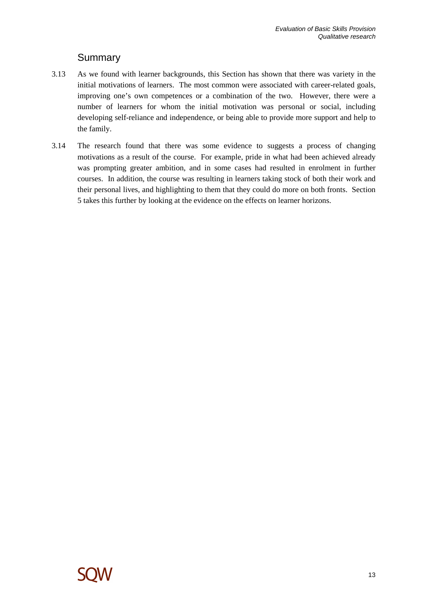## Summary

- 3.13 As we found with learner backgrounds, this Section has shown that there was variety in the initial motivations of learners. The most common were associated with career-related goals, improving one's own competences or a combination of the two. However, there were a number of learners for whom the initial motivation was personal or social, including developing self-reliance and independence, or being able to provide more support and help to the family.
- 3.14 The research found that there was some evidence to suggests a process of changing motivations as a result of the course. For example, pride in what had been achieved already was prompting greater ambition, and in some cases had resulted in enrolment in further courses. In addition, the course was resulting in learners taking stock of both their work and their personal lives, and highlighting to them that they could do more on both fronts. Section 5 takes this further by looking at the evidence on the effects on learner horizons.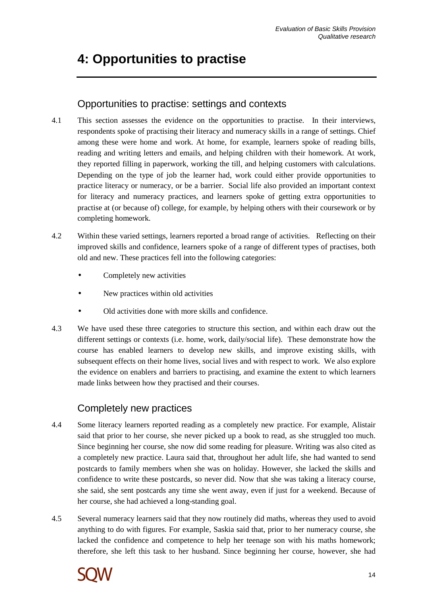# **4: Opportunities to practise**

# Opportunities to practise: settings and contexts

- 4.1 This section assesses the evidence on the opportunities to practise. In their interviews, respondents spoke of practising their literacy and numeracy skills in a range of settings. Chief among these were home and work. At home, for example, learners spoke of reading bills, reading and writing letters and emails, and helping children with their homework. At work, they reported filling in paperwork, working the till, and helping customers with calculations. Depending on the type of job the learner had, work could either provide opportunities to practice literacy or numeracy, or be a barrier. Social life also provided an important context for literacy and numeracy practices, and learners spoke of getting extra opportunities to practise at (or because of) college, for example, by helping others with their coursework or by completing homework.
- 4.2 Within these varied settings, learners reported a broad range of activities. Reflecting on their improved skills and confidence, learners spoke of a range of different types of practises, both old and new. These practices fell into the following categories:
	- Completely new activities
	- New practices within old activities
	- Old activities done with more skills and confidence.
- 4.3 We have used these three categories to structure this section, and within each draw out the different settings or contexts (i.e. home, work, daily/social life). These demonstrate how the course has enabled learners to develop new skills, and improve existing skills, with subsequent effects on their home lives, social lives and with respect to work. We also explore the evidence on enablers and barriers to practising, and examine the extent to which learners made links between how they practised and their courses.

## Completely new practices

- 4.4 Some literacy learners reported reading as a completely new practice. For example, Alistair said that prior to her course, she never picked up a book to read, as she struggled too much. Since beginning her course, she now did some reading for pleasure. Writing was also cited as a completely new practice. Laura said that, throughout her adult life, she had wanted to send postcards to family members when she was on holiday. However, she lacked the skills and confidence to write these postcards, so never did. Now that she was taking a literacy course, she said, she sent postcards any time she went away, even if just for a weekend. Because of her course, she had achieved a long-standing goal.
- 4.5 Several numeracy learners said that they now routinely did maths, whereas they used to avoid anything to do with figures. For example, Saskia said that, prior to her numeracy course, she lacked the confidence and competence to help her teenage son with his maths homework; therefore, she left this task to her husband. Since beginning her course, however, she had

![](_page_15_Picture_12.jpeg)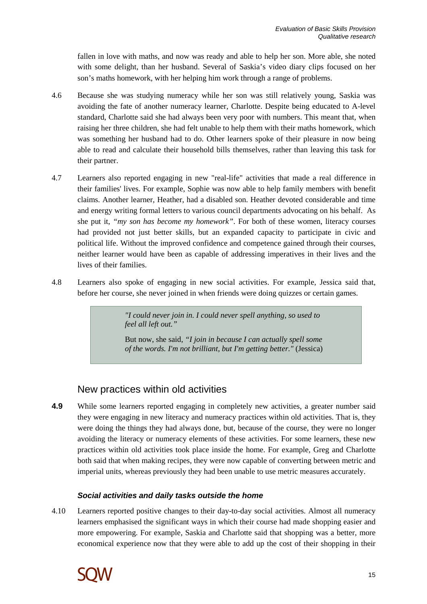fallen in love with maths, and now was ready and able to help her son. More able, she noted with some delight, than her husband. Several of Saskia's video diary clips focused on her son's maths homework, with her helping him work through a range of problems.

- 4.6 Because she was studying numeracy while her son was still relatively young, Saskia was avoiding the fate of another numeracy learner, Charlotte. Despite being educated to A-level standard, Charlotte said she had always been very poor with numbers. This meant that, when raising her three children, she had felt unable to help them with their maths homework, which was something her husband had to do. Other learners spoke of their pleasure in now being able to read and calculate their household bills themselves, rather than leaving this task for their partner.
- 4.7 Learners also reported engaging in new "real-life" activities that made a real difference in their families' lives. For example, Sophie was now able to help family members with benefit claims. Another learner, Heather, had a disabled son. Heather devoted considerable and time and energy writing formal letters to various council departments advocating on his behalf. As she put it, *"my son has become my homework"*. For both of these women, literacy courses had provided not just better skills, but an expanded capacity to participate in civic and political life. Without the improved confidence and competence gained through their courses, neither learner would have been as capable of addressing imperatives in their lives and the lives of their families.
- 4.8 Learners also spoke of engaging in new social activities. For example, Jessica said that, before her course, she never joined in when friends were doing quizzes or certain games.

*"I could never join in. I could never spell anything, so used to feel all left out."* 

But now, she said*, "I join in because I can actually spell some of the words. I'm not brilliant, but I'm getting better."* (Jessica)

## New practices within old activities

**4.9** While some learners reported engaging in completely new activities, a greater number said they were engaging in new literacy and numeracy practices within old activities. That is, they were doing the things they had always done, but, because of the course, they were no longer avoiding the literacy or numeracy elements of these activities. For some learners, these new practices within old activities took place inside the home. For example, Greg and Charlotte both said that when making recipes, they were now capable of converting between metric and imperial units, whereas previously they had been unable to use metric measures accurately.

#### **Social activities and daily tasks outside the home**

4.10 Learners reported positive changes to their day-to-day social activities. Almost all numeracy learners emphasised the significant ways in which their course had made shopping easier and more empowering. For example, Saskia and Charlotte said that shopping was a better, more economical experience now that they were able to add up the cost of their shopping in their

![](_page_16_Picture_11.jpeg)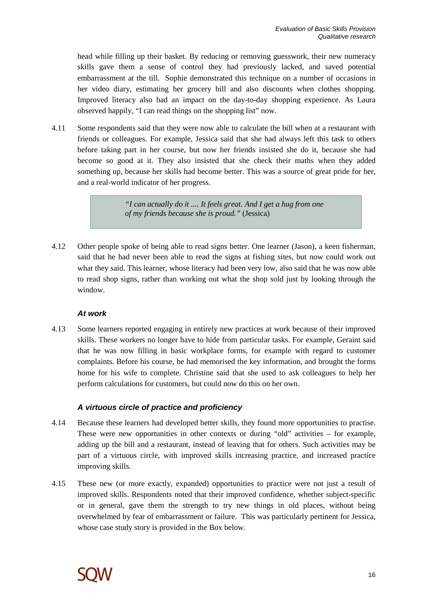head while filling up their basket. By reducing or removing guesswork, their new numeracy skills gave them a sense of control they had previously lacked, and saved potential embarrassment at the till. Sophie demonstrated this technique on a number of occasions in her video diary, estimating her grocery bill and also discounts when clothes shopping. Improved literacy also had an impact on the day-to-day shopping experience. As Laura observed happily, "I can read things on the shopping list" now.

4.11 Some respondents said that they were now able to calculate the bill when at a restaurant with friends or colleagues. For example, Jessica said that she had always left this task to others before taking part in her course, but now her friends insisted she do it, because she had become so good at it. They also insisted that she check their maths when they added something up, because her skills had become better. This was a source of great pride for her, and a real-world indicator of her progress.

> *"I can actually do it .... It feels great. And I get a hug from one of my friends because she is proud."* (Jessica)

4.12 Other people spoke of being able to read signs better. One learner (Jason), a keen fisherman, said that he had never been able to read the signs at fishing sites, but now could work out what they said. This learner, whose literacy had been very low, also said that he was now able to read shop signs, rather than working out what the shop sold just by looking through the window.

#### **At work**

4.13 Some learners reported engaging in entirely new practices at work because of their improved skills. These workers no longer have to hide from particular tasks. For example, Geraint said that he was now filling in basic workplace forms, for example with regard to customer complaints. Before his course, he had memorised the key information, and brought the forms home for his wife to complete. Christine said that she used to ask colleagues to help her perform calculations for customers, but could now do this on her own.

#### **A virtuous circle of practice and proficiency**

- 4.14 Because these learners had developed better skills, they found more opportunities to practise. These were new opportunities in other contexts or during "old" activities – for example, adding up the bill and a restaurant, instead of leaving that for others. Such activities may be part of a virtuous circle, with improved skills increasing practice, and increased practice improving skills.
- 4.15 These new (or more exactly, expanded) opportunities to practice were not just a result of improved skills. Respondents noted that their improved confidence, whether subject-specific or in general, gave them the strength to try new things in old places, without being overwhelmed by fear of embarrassment or failure. This was particularly pertinent for Jessica, whose case study story is provided in the Box below.

![](_page_17_Picture_10.jpeg)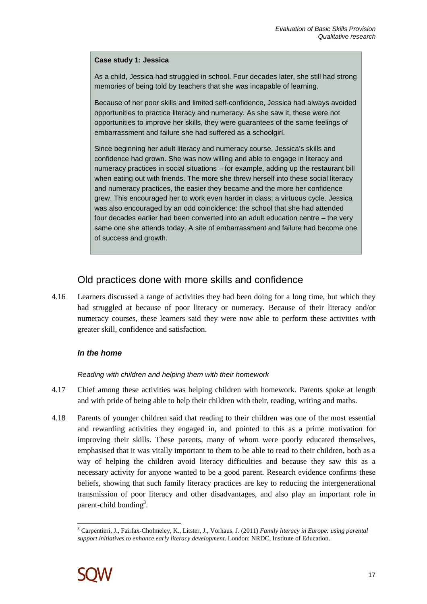#### **Case study 1: Jessica**

As a child, Jessica had struggled in school. Four decades later, she still had strong memories of being told by teachers that she was incapable of learning.

Because of her poor skills and limited self-confidence, Jessica had always avoided opportunities to practice literacy and numeracy. As she saw it, these were not opportunities to improve her skills, they were guarantees of the same feelings of embarrassment and failure she had suffered as a schoolgirl.

Since beginning her adult literacy and numeracy course, Jessica's skills and confidence had grown. She was now willing and able to engage in literacy and numeracy practices in social situations – for example, adding up the restaurant bill when eating out with friends. The more she threw herself into these social literacy and numeracy practices, the easier they became and the more her confidence grew. This encouraged her to work even harder in class: a virtuous cycle. Jessica was also encouraged by an odd coincidence: the school that she had attended four decades earlier had been converted into an adult education centre – the very same one she attends today. A site of embarrassment and failure had become one of success and growth.

## Old practices done with more skills and confidence

4.16 Learners discussed a range of activities they had been doing for a long time, but which they had struggled at because of poor literacy or numeracy. Because of their literacy and/or numeracy courses, these learners said they were now able to perform these activities with greater skill, confidence and satisfaction.

#### **In the home**

#### Reading with children and helping them with their homework

- 4.17 Chief among these activities was helping children with homework. Parents spoke at length and with pride of being able to help their children with their, reading, writing and maths.
- 4.18 Parents of younger children said that reading to their children was one of the most essential and rewarding activities they engaged in, and pointed to this as a prime motivation for improving their skills. These parents, many of whom were poorly educated themselves, emphasised that it was vitally important to them to be able to read to their children, both as a way of helping the children avoid literacy difficulties and because they saw this as a necessary activity for anyone wanted to be a good parent. Research evidence confirms these beliefs, showing that such family literacy practices are key to reducing the intergenerational transmission of poor literacy and other disadvantages, and also play an important role in parent-child bonding<sup>3</sup>.

 $\overline{a}$ 3 Carpentieri, J., Fairfax-Cholmeley, K., Litster, J., Vorhaus, J. (2011) *Family literacy in Europe: using parental support initiatives to enhance early literacy development*. London: NRDC, Institute of Education.

![](_page_18_Picture_12.jpeg)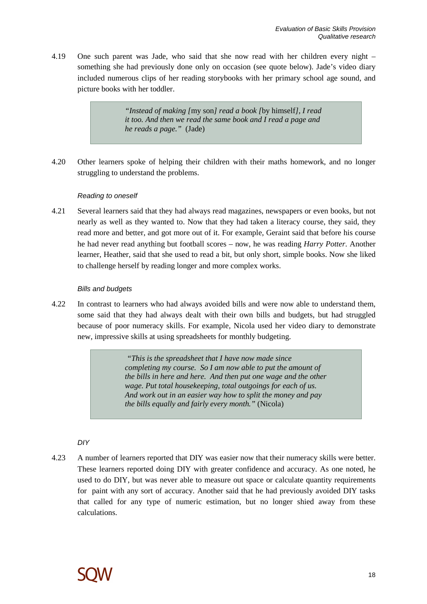4.19 One such parent was Jade, who said that she now read with her children every night – something she had previously done only on occasion (see quote below). Jade's video diary included numerous clips of her reading storybooks with her primary school age sound, and picture books with her toddler.

> *"Instead of making [*my son*] read a book [*by himself*], I read it too. And then we read the same book and I read a page and he reads a page."* (Jade)

4.20 Other learners spoke of helping their children with their maths homework, and no longer struggling to understand the problems.

#### Reading to oneself

4.21 Several learners said that they had always read magazines, newspapers or even books, but not nearly as well as they wanted to. Now that they had taken a literacy course, they said, they read more and better, and got more out of it. For example, Geraint said that before his course he had never read anything but football scores – now, he was reading *Harry Potter*. Another learner, Heather, said that she used to read a bit, but only short, simple books. Now she liked to challenge herself by reading longer and more complex works.

#### Bills and budgets

4.22 In contrast to learners who had always avoided bills and were now able to understand them, some said that they had always dealt with their own bills and budgets, but had struggled because of poor numeracy skills. For example, Nicola used her video diary to demonstrate new, impressive skills at using spreadsheets for monthly budgeting.

> *"This is the spreadsheet that I have now made since completing my course. So I am now able to put the amount of the bills in here and here. And then put one wage and the other wage. Put total housekeeping, total outgoings for each of us. And work out in an easier way how to split the money and pay the bills equally and fairly every month."* (Nicola)

DIY

4.23 A number of learners reported that DIY was easier now that their numeracy skills were better. These learners reported doing DIY with greater confidence and accuracy. As one noted, he used to do DIY, but was never able to measure out space or calculate quantity requirements for paint with any sort of accuracy. Another said that he had previously avoided DIY tasks that called for any type of numeric estimation, but no longer shied away from these calculations.

![](_page_19_Picture_11.jpeg)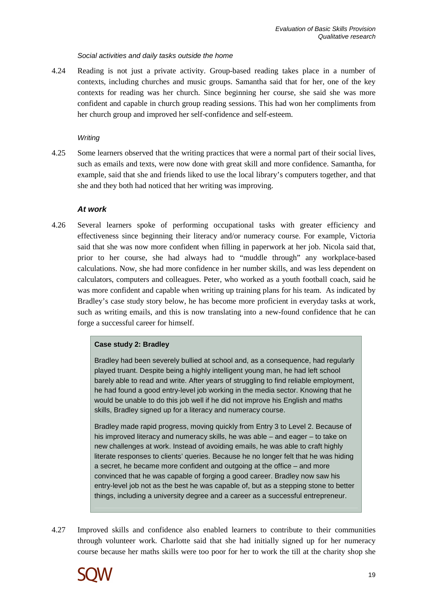#### Social activities and daily tasks outside the home

4.24 Reading is not just a private activity. Group-based reading takes place in a number of contexts, including churches and music groups. Samantha said that for her, one of the key contexts for reading was her church. Since beginning her course, she said she was more confident and capable in church group reading sessions. This had won her compliments from her church group and improved her self-confidence and self-esteem.

#### **Writing**

4.25 Some learners observed that the writing practices that were a normal part of their social lives, such as emails and texts, were now done with great skill and more confidence. Samantha, for example, said that she and friends liked to use the local library's computers together, and that she and they both had noticed that her writing was improving.

#### **At work**

4.26 Several learners spoke of performing occupational tasks with greater efficiency and effectiveness since beginning their literacy and/or numeracy course. For example, Victoria said that she was now more confident when filling in paperwork at her job. Nicola said that, prior to her course, she had always had to "muddle through" any workplace-based calculations. Now, she had more confidence in her number skills, and was less dependent on calculators, computers and colleagues. Peter, who worked as a youth football coach, said he was more confident and capable when writing up training plans for his team. As indicated by Bradley's case study story below, he has become more proficient in everyday tasks at work, such as writing emails, and this is now translating into a new-found confidence that he can forge a successful career for himself.

#### **Case study 2: Bradley**

Bradley had been severely bullied at school and, as a consequence, had regularly played truant. Despite being a highly intelligent young man, he had left school barely able to read and write. After years of struggling to find reliable employment, he had found a good entry-level job working in the media sector. Knowing that he would be unable to do this job well if he did not improve his English and maths skills, Bradley signed up for a literacy and numeracy course.

Bradley made rapid progress, moving quickly from Entry 3 to Level 2. Because of his improved literacy and numeracy skills, he was able – and eager – to take on new challenges at work. Instead of avoiding emails, he was able to craft highly literate responses to clients' queries. Because he no longer felt that he was hiding a secret, he became more confident and outgoing at the office – and more convinced that he was capable of forging a good career. Bradley now saw his entry-level job not as the best he was capable of, but as a stepping stone to better things, including a university degree and a career as a successful entrepreneur.

4.27 Improved skills and confidence also enabled learners to contribute to their communities through volunteer work. Charlotte said that she had initially signed up for her numeracy course because her maths skills were too poor for her to work the till at the charity shop she

![](_page_20_Picture_11.jpeg)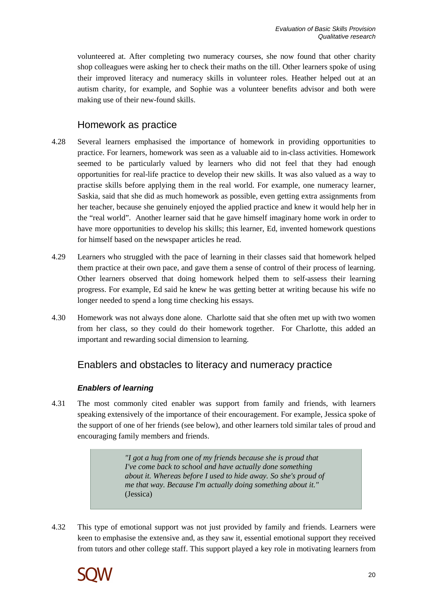volunteered at. After completing two numeracy courses, she now found that other charity shop colleagues were asking her to check their maths on the till. Other learners spoke of using their improved literacy and numeracy skills in volunteer roles. Heather helped out at an autism charity, for example, and Sophie was a volunteer benefits advisor and both were making use of their new-found skills.

### Homework as practice

- 4.28 Several learners emphasised the importance of homework in providing opportunities to practice. For learners, homework was seen as a valuable aid to in-class activities. Homework seemed to be particularly valued by learners who did not feel that they had enough opportunities for real-life practice to develop their new skills. It was also valued as a way to practise skills before applying them in the real world. For example, one numeracy learner, Saskia, said that she did as much homework as possible, even getting extra assignments from her teacher, because she genuinely enjoyed the applied practice and knew it would help her in the "real world". Another learner said that he gave himself imaginary home work in order to have more opportunities to develop his skills; this learner, Ed, invented homework questions for himself based on the newspaper articles he read.
- 4.29 Learners who struggled with the pace of learning in their classes said that homework helped them practice at their own pace, and gave them a sense of control of their process of learning. Other learners observed that doing homework helped them to self-assess their learning progress. For example, Ed said he knew he was getting better at writing because his wife no longer needed to spend a long time checking his essays.
- 4.30 Homework was not always done alone. Charlotte said that she often met up with two women from her class, so they could do their homework together. For Charlotte, this added an important and rewarding social dimension to learning.

## Enablers and obstacles to literacy and numeracy practice

#### **Enablers of learning**

4.31 The most commonly cited enabler was support from family and friends, with learners speaking extensively of the importance of their encouragement. For example, Jessica spoke of the support of one of her friends (see below), and other learners told similar tales of proud and encouraging family members and friends.

> *"I got a hug from one of my friends because she is proud that I've come back to school and have actually done something about it. Whereas before I used to hide away. So she's proud of me that way. Because I'm actually doing something about it."*  (Jessica)

4.32 This type of emotional support was not just provided by family and friends. Learners were keen to emphasise the extensive and, as they saw it, essential emotional support they received from tutors and other college staff. This support played a key role in motivating learners from

![](_page_21_Picture_11.jpeg)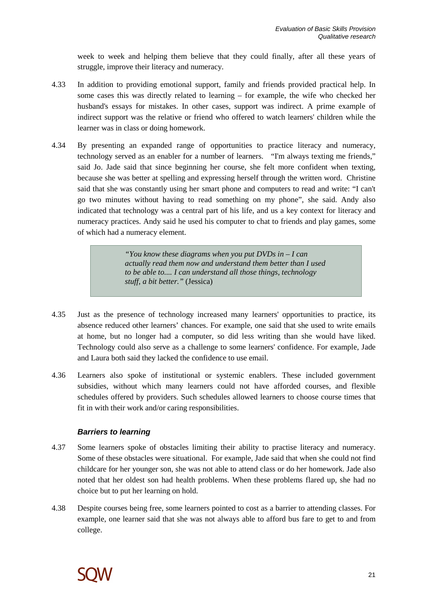week to week and helping them believe that they could finally, after all these years of struggle, improve their literacy and numeracy.

- 4.33 In addition to providing emotional support, family and friends provided practical help. In some cases this was directly related to learning – for example, the wife who checked her husband's essays for mistakes. In other cases, support was indirect. A prime example of indirect support was the relative or friend who offered to watch learners' children while the learner was in class or doing homework.
- 4.34 By presenting an expanded range of opportunities to practice literacy and numeracy, technology served as an enabler for a number of learners. "I'm always texting me friends," said Jo. Jade said that since beginning her course, she felt more confident when texting, because she was better at spelling and expressing herself through the written word. Christine said that she was constantly using her smart phone and computers to read and write: "I can't go two minutes without having to read something on my phone", she said. Andy also indicated that technology was a central part of his life, and us a key context for literacy and numeracy practices. Andy said he used his computer to chat to friends and play games, some of which had a numeracy element.

*"You know these diagrams when you put DVDs in – I can actually read them now and understand them better than I used to be able to.... I can understand all those things, technology stuff, a bit better."* (Jessica)

- 4.35 Just as the presence of technology increased many learners' opportunities to practice, its absence reduced other learners' chances. For example, one said that she used to write emails at home, but no longer had a computer, so did less writing than she would have liked. Technology could also serve as a challenge to some learners' confidence. For example, Jade and Laura both said they lacked the confidence to use email.
- 4.36 Learners also spoke of institutional or systemic enablers. These included government subsidies, without which many learners could not have afforded courses, and flexible schedules offered by providers. Such schedules allowed learners to choose course times that fit in with their work and/or caring responsibilities.

#### **Barriers to learning**

- 4.37 Some learners spoke of obstacles limiting their ability to practise literacy and numeracy. Some of these obstacles were situational. For example, Jade said that when she could not find childcare for her younger son, she was not able to attend class or do her homework. Jade also noted that her oldest son had health problems. When these problems flared up, she had no choice but to put her learning on hold.
- 4.38 Despite courses being free, some learners pointed to cost as a barrier to attending classes. For example, one learner said that she was not always able to afford bus fare to get to and from college.

![](_page_22_Picture_10.jpeg)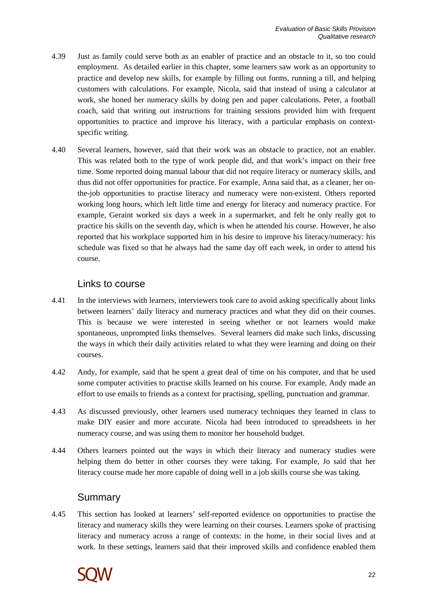- 4.39 Just as family could serve both as an enabler of practice and an obstacle to it, so too could employment. As detailed earlier in this chapter, some learners saw work as an opportunity to practice and develop new skills, for example by filling out forms, running a till, and helping customers with calculations. For example, Nicola, said that instead of using a calculator at work, she honed her numeracy skills by doing pen and paper calculations. Peter, a football coach, said that writing out instructions for training sessions provided him with frequent opportunities to practice and improve his literacy, with a particular emphasis on contextspecific writing.
- 4.40 Several learners, however, said that their work was an obstacle to practice, not an enabler. This was related both to the type of work people did, and that work's impact on their free time. Some reported doing manual labour that did not require literacy or numeracy skills, and thus did not offer opportunities for practice. For example, Anna said that, as a cleaner, her onthe-job opportunities to practise literacy and numeracy were non-existent. Others reported working long hours, which left little time and energy for literacy and numeracy practice. For example, Geraint worked six days a week in a supermarket, and felt he only really got to practice his skills on the seventh day, which is when he attended his course. However, he also reported that his workplace supported him in his desire to improve his literacy/numeracy: his schedule was fixed so that he always had the same day off each week, in order to attend his course.

### Links to course

- 4.41 In the interviews with learners, interviewers took care to avoid asking specifically about links between learners' daily literacy and numeracy practices and what they did on their courses. This is because we were interested in seeing whether or not learners would make spontaneous, unprompted links themselves. Several learners did make such links, discussing the ways in which their daily activities related to what they were learning and doing on their courses.
- 4.42 Andy, for example, said that he spent a great deal of time on his computer, and that he used some computer activities to practise skills learned on his course. For example, Andy made an effort to use emails to friends as a context for practising, spelling, punctuation and grammar.
- 4.43 As discussed previously, other learners used numeracy techniques they learned in class to make DIY easier and more accurate. Nicola had been introduced to spreadsheets in her numeracy course, and was using them to monitor her household budget.
- 4.44 Others learners pointed out the ways in which their literacy and numeracy studies were helping them do better in other courses they were taking. For example, Jo said that her literacy course made her more capable of doing well in a job skills course she was taking.

## Summary

4.45 This section has looked at learners' self-reported evidence on opportunities to practise the literacy and numeracy skills they were learning on their courses. Learners spoke of practising literacy and numeracy across a range of contexts: in the home, in their social lives and at work. In these settings, learners said that their improved skills and confidence enabled them

![](_page_23_Picture_10.jpeg)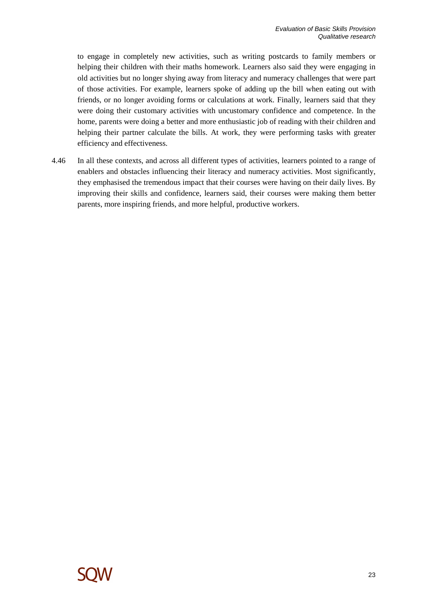to engage in completely new activities, such as writing postcards to family members or helping their children with their maths homework. Learners also said they were engaging in old activities but no longer shying away from literacy and numeracy challenges that were part of those activities. For example, learners spoke of adding up the bill when eating out with friends, or no longer avoiding forms or calculations at work. Finally, learners said that they were doing their customary activities with uncustomary confidence and competence. In the home, parents were doing a better and more enthusiastic job of reading with their children and helping their partner calculate the bills. At work, they were performing tasks with greater efficiency and effectiveness.

4.46 In all these contexts, and across all different types of activities, learners pointed to a range of enablers and obstacles influencing their literacy and numeracy activities. Most significantly, they emphasised the tremendous impact that their courses were having on their daily lives. By improving their skills and confidence, learners said, their courses were making them better parents, more inspiring friends, and more helpful, productive workers.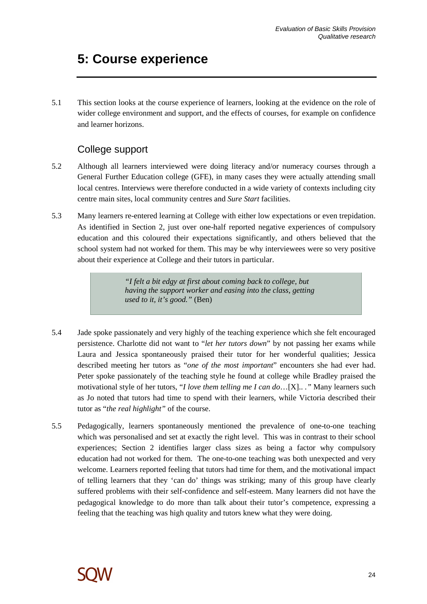# **5: Course experience**

5.1 This section looks at the course experience of learners, looking at the evidence on the role of wider college environment and support, and the effects of courses, for example on confidence and learner horizons.

## College support

- 5.2 Although all learners interviewed were doing literacy and/or numeracy courses through a General Further Education college (GFE), in many cases they were actually attending small local centres. Interviews were therefore conducted in a wide variety of contexts including city centre main sites, local community centres and *Sure Start* facilities.
- 5.3 Many learners re-entered learning at College with either low expectations or even trepidation. As identified in Section 2, just over one-half reported negative experiences of compulsory education and this coloured their expectations significantly, and others believed that the school system had not worked for them. This may be why interviewees were so very positive about their experience at College and their tutors in particular.

*"I felt a bit edgy at first about coming back to college, but having the support worker and easing into the class, getting used to it, it's good."* (Ben)

- 5.4 Jade spoke passionately and very highly of the teaching experience which she felt encouraged persistence. Charlotte did not want to "*let her tutors down*" by not passing her exams while Laura and Jessica spontaneously praised their tutor for her wonderful qualities; Jessica described meeting her tutors as "*one of the most important*" encounters she had ever had. Peter spoke passionately of the teaching style he found at college while Bradley praised the motivational style of her tutors, "*I love them telling me I can do*…[X].. *."* Many learners such as Jo noted that tutors had time to spend with their learners, while Victoria described their tutor as "*the real highlight"* of the course.
- 5.5 Pedagogically, learners spontaneously mentioned the prevalence of one-to-one teaching which was personalised and set at exactly the right level. This was in contrast to their school experiences; Section 2 identifies larger class sizes as being a factor why compulsory education had not worked for them. The one-to-one teaching was both unexpected and very welcome. Learners reported feeling that tutors had time for them, and the motivational impact of telling learners that they 'can do' things was striking; many of this group have clearly suffered problems with their self-confidence and self-esteem. Many learners did not have the pedagogical knowledge to do more than talk about their tutor's competence, expressing a feeling that the teaching was high quality and tutors knew what they were doing.

![](_page_25_Picture_9.jpeg)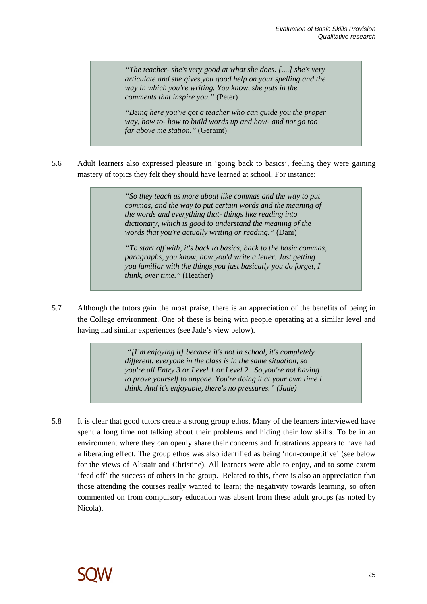*"The teacher- she's very good at what she does. [....] she's very articulate and she gives you good help on your spelling and the way in which you're writing. You know, she puts in the comments that inspire you."* (Peter)

*"Being here you've got a teacher who can guide you the proper way, how to- how to build words up and how- and not go too far above me station."* (Geraint)

5.6 Adult learners also expressed pleasure in 'going back to basics', feeling they were gaining mastery of topics they felt they should have learned at school. For instance:

> *"So they teach us more about like commas and the way to put commas, and the way to put certain words and the meaning of the words and everything that- things like reading into dictionary, which is good to understand the meaning of the words that you're actually writing or reading."* (Dani)

*"To start off with, it's back to basics, back to the basic commas, paragraphs, you know, how you'd write a letter. Just getting you familiar with the things you just basically you do forget, I think, over time."* (Heather)

5.7 Although the tutors gain the most praise, there is an appreciation of the benefits of being in the College environment. One of these is being with people operating at a similar level and having had similar experiences (see Jade's view below).

> *"[I'm enjoying it] because it's not in school, it's completely different. everyone in the class is in the same situation, so you're all Entry 3 or Level 1 or Level 2. So you're not having to prove yourself to anyone. You're doing it at your own time I think. And it's enjoyable, there's no pressures." (Jade)*

5.8 It is clear that good tutors create a strong group ethos. Many of the learners interviewed have spent a long time not talking about their problems and hiding their low skills. To be in an environment where they can openly share their concerns and frustrations appears to have had a liberating effect. The group ethos was also identified as being 'non-competitive' (see below for the views of Alistair and Christine). All learners were able to enjoy, and to some extent 'feed off' the success of others in the group. Related to this, there is also an appreciation that those attending the courses really wanted to learn; the negativity towards learning, so often commented on from compulsory education was absent from these adult groups (as noted by Nicola).

![](_page_26_Picture_9.jpeg)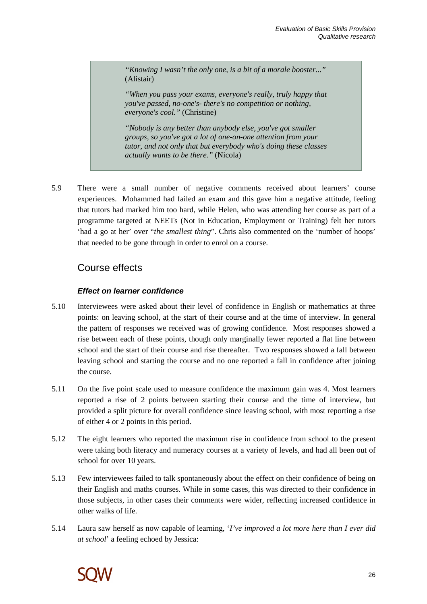*"Knowing I wasn't the only one, is a bit of a morale booster..."*  (Alistair)

*"When you pass your exams, everyone's really, truly happy that you've passed, no-one's- there's no competition or nothing, everyone's cool."* (Christine)

*"Nobody is any better than anybody else, you've got smaller groups, so you've got a lot of one-on-one attention from your tutor, and not only that but everybody who's doing these classes actually wants to be there."* (Nicola)

5.9 There were a small number of negative comments received about learners' course experiences. Mohammed had failed an exam and this gave him a negative attitude, feeling that tutors had marked him too hard, while Helen, who was attending her course as part of a programme targeted at NEETs (Not in Education, Employment or Training) felt her tutors 'had a go at her' over "*the smallest thing*". Chris also commented on the 'number of hoops' that needed to be gone through in order to enrol on a course.

## Course effects

#### **Effect on learner confidence**

- 5.10 Interviewees were asked about their level of confidence in English or mathematics at three points: on leaving school, at the start of their course and at the time of interview. In general the pattern of responses we received was of growing confidence. Most responses showed a rise between each of these points, though only marginally fewer reported a flat line between school and the start of their course and rise thereafter. Two responses showed a fall between leaving school and starting the course and no one reported a fall in confidence after joining the course.
- 5.11 On the five point scale used to measure confidence the maximum gain was 4. Most learners reported a rise of 2 points between starting their course and the time of interview, but provided a split picture for overall confidence since leaving school, with most reporting a rise of either 4 or 2 points in this period.
- 5.12 The eight learners who reported the maximum rise in confidence from school to the present were taking both literacy and numeracy courses at a variety of levels, and had all been out of school for over 10 years.
- 5.13 Few interviewees failed to talk spontaneously about the effect on their confidence of being on their English and maths courses. While in some cases, this was directed to their confidence in those subjects, in other cases their comments were wider, reflecting increased confidence in other walks of life.
- 5.14 Laura saw herself as now capable of learning, '*I've improved a lot more here than I ever did at school*' a feeling echoed by Jessica:

![](_page_27_Picture_12.jpeg)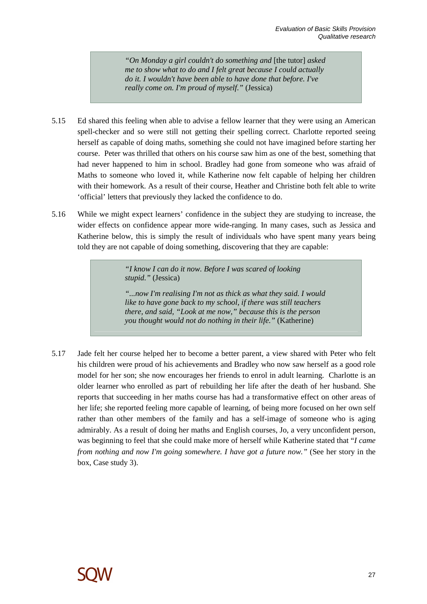*"On Monday a girl couldn't do something and* [the tutor] *asked me to show what to do and I felt great because I could actually do it. I wouldn't have been able to have done that before. I've really come on. I'm proud of myself."* (Jessica)

- 5.15 Ed shared this feeling when able to advise a fellow learner that they were using an American spell-checker and so were still not getting their spelling correct. Charlotte reported seeing herself as capable of doing maths, something she could not have imagined before starting her course. Peter was thrilled that others on his course saw him as one of the best, something that had never happened to him in school. Bradley had gone from someone who was afraid of Maths to someone who loved it, while Katherine now felt capable of helping her children with their homework. As a result of their course, Heather and Christine both felt able to write 'official' letters that previously they lacked the confidence to do.
- 5.16 While we might expect learners' confidence in the subject they are studying to increase, the wider effects on confidence appear more wide-ranging. In many cases, such as Jessica and Katherine below, this is simply the result of individuals who have spent many years being told they are not capable of doing something, discovering that they are capable:

*"I know I can do it now. Before I was scared of looking stupid."* (Jessica)

*"...now I'm realising I'm not as thick as what they said. I would like to have gone back to my school, if there was still teachers there, and said, "Look at me now," because this is the person you thought would not do nothing in their life."* (Katherine)

5.17 Jade felt her course helped her to become a better parent, a view shared with Peter who felt his children were proud of his achievements and Bradley who now saw herself as a good role model for her son; she now encourages her friends to enrol in adult learning. Charlotte is an older learner who enrolled as part of rebuilding her life after the death of her husband. She reports that succeeding in her maths course has had a transformative effect on other areas of her life; she reported feeling more capable of learning, of being more focused on her own self rather than other members of the family and has a self-image of someone who is aging admirably. As a result of doing her maths and English courses, Jo, a very unconfident person, was beginning to feel that she could make more of herself while Katherine stated that "*I came from nothing and now I'm going somewhere. I have got a future now.*" (See her story in the box, Case study 3).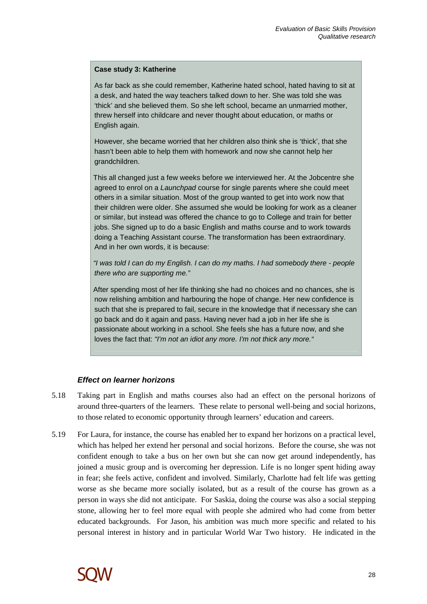#### **Case study 3: Katherine**

As far back as she could remember, Katherine hated school, hated having to sit at a desk, and hated the way teachers talked down to her. She was told she was 'thick' and she believed them. So she left school, became an unmarried mother, threw herself into childcare and never thought about education, or maths or English again.

However, she became worried that her children also think she is 'thick', that she hasn't been able to help them with homework and now she cannot help her grandchildren.

This all changed just a few weeks before we interviewed her. At the Jobcentre she agreed to enrol on a Launchpad course for single parents where she could meet others in a similar situation. Most of the group wanted to get into work now that their children were older. She assumed she would be looking for work as a cleaner or similar, but instead was offered the chance to go to College and train for better jobs. She signed up to do a basic English and maths course and to work towards doing a Teaching Assistant course. The transformation has been extraordinary. And in her own words, it is because:

"I was told I can do my English. I can do my maths. I had somebody there - people there who are supporting me."

After spending most of her life thinking she had no choices and no chances, she is now relishing ambition and harbouring the hope of change. Her new confidence is such that she is prepared to fail, secure in the knowledge that if necessary she can go back and do it again and pass. Having never had a job in her life she is passionate about working in a school. She feels she has a future now, and she loves the fact that: "I'm not an idiot any more. I'm not thick any more."

#### **Effect on learner horizons**

- 5.18 Taking part in English and maths courses also had an effect on the personal horizons of around three-quarters of the learners. These relate to personal well-being and social horizons, to those related to economic opportunity through learners' education and careers.
- 5.19 For Laura, for instance, the course has enabled her to expand her horizons on a practical level, which has helped her extend her personal and social horizons. Before the course, she was not confident enough to take a bus on her own but she can now get around independently, has joined a music group and is overcoming her depression. Life is no longer spent hiding away in fear; she feels active, confident and involved. Similarly, Charlotte had felt life was getting worse as she became more socially isolated, but as a result of the course has grown as a person in ways she did not anticipate. For Saskia, doing the course was also a social stepping stone, allowing her to feel more equal with people she admired who had come from better educated backgrounds. For Jason, his ambition was much more specific and related to his personal interest in history and in particular World War Two history. He indicated in the

![](_page_29_Picture_10.jpeg)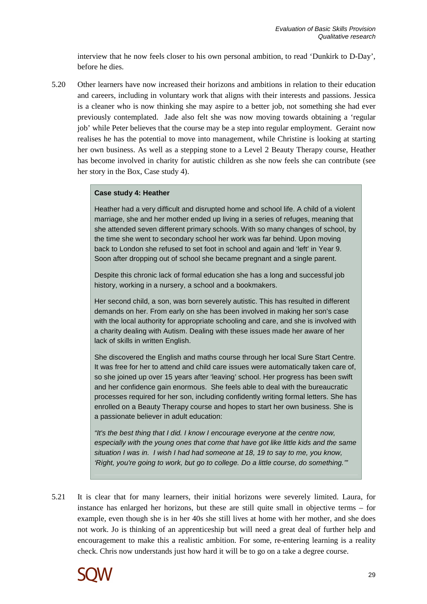interview that he now feels closer to his own personal ambition, to read 'Dunkirk to D-Day', before he dies.

5.20 Other learners have now increased their horizons and ambitions in relation to their education and careers, including in voluntary work that aligns with their interests and passions. Jessica is a cleaner who is now thinking she may aspire to a better job, not something she had ever previously contemplated. Jade also felt she was now moving towards obtaining a 'regular job' while Peter believes that the course may be a step into regular employment. Geraint now realises he has the potential to move into management, while Christine is looking at starting her own business. As well as a stepping stone to a Level 2 Beauty Therapy course, Heather has become involved in charity for autistic children as she now feels she can contribute (see her story in the Box, Case study 4).

#### **Case study 4: Heather**

Heather had a very difficult and disrupted home and school life. A child of a violent marriage, she and her mother ended up living in a series of refuges, meaning that she attended seven different primary schools. With so many changes of school, by the time she went to secondary school her work was far behind. Upon moving back to London she refused to set foot in school and again and 'left' in Year 9. Soon after dropping out of school she became pregnant and a single parent.

Despite this chronic lack of formal education she has a long and successful job history, working in a nursery, a school and a bookmakers.

Her second child, a son, was born severely autistic. This has resulted in different demands on her. From early on she has been involved in making her son's case with the local authority for appropriate schooling and care, and she is involved with a charity dealing with Autism. Dealing with these issues made her aware of her lack of skills in written English.

She discovered the English and maths course through her local Sure Start Centre. It was free for her to attend and child care issues were automatically taken care of, so she joined up over 15 years after 'leaving' school. Her progress has been swift and her confidence gain enormous. She feels able to deal with the bureaucratic processes required for her son, including confidently writing formal letters. She has enrolled on a Beauty Therapy course and hopes to start her own business. She is a passionate believer in adult education:

"It's the best thing that I did. I know I encourage everyone at the centre now, especially with the young ones that come that have got like little kids and the same situation I was in. I wish I had had someone at 18, 19 to say to me, you know, 'Right, you're going to work, but go to college. Do a little course, do something.'"

5.21 It is clear that for many learners, their initial horizons were severely limited. Laura, for instance has enlarged her horizons, but these are still quite small in objective terms – for example, even though she is in her 40s she still lives at home with her mother, and she does not work. Jo is thinking of an apprenticeship but will need a great deal of further help and encouragement to make this a realistic ambition. For some, re-entering learning is a reality check. Chris now understands just how hard it will be to go on a take a degree course.

![](_page_30_Picture_10.jpeg)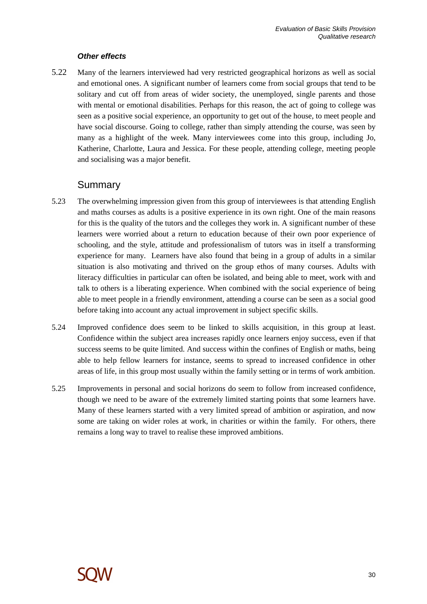#### **Other effects**

5.22 Many of the learners interviewed had very restricted geographical horizons as well as social and emotional ones. A significant number of learners come from social groups that tend to be solitary and cut off from areas of wider society, the unemployed, single parents and those with mental or emotional disabilities. Perhaps for this reason, the act of going to college was seen as a positive social experience, an opportunity to get out of the house, to meet people and have social discourse. Going to college, rather than simply attending the course, was seen by many as a highlight of the week. Many interviewees come into this group, including Jo, Katherine, Charlotte, Laura and Jessica. For these people, attending college, meeting people and socialising was a major benefit.

### Summary

- 5.23 The overwhelming impression given from this group of interviewees is that attending English and maths courses as adults is a positive experience in its own right. One of the main reasons for this is the quality of the tutors and the colleges they work in. A significant number of these learners were worried about a return to education because of their own poor experience of schooling, and the style, attitude and professionalism of tutors was in itself a transforming experience for many. Learners have also found that being in a group of adults in a similar situation is also motivating and thrived on the group ethos of many courses. Adults with literacy difficulties in particular can often be isolated, and being able to meet, work with and talk to others is a liberating experience. When combined with the social experience of being able to meet people in a friendly environment, attending a course can be seen as a social good before taking into account any actual improvement in subject specific skills.
- 5.24 Improved confidence does seem to be linked to skills acquisition, in this group at least. Confidence within the subject area increases rapidly once learners enjoy success, even if that success seems to be quite limited. And success within the confines of English or maths, being able to help fellow learners for instance, seems to spread to increased confidence in other areas of life, in this group most usually within the family setting or in terms of work ambition.
- 5.25 Improvements in personal and social horizons do seem to follow from increased confidence, though we need to be aware of the extremely limited starting points that some learners have. Many of these learners started with a very limited spread of ambition or aspiration, and now some are taking on wider roles at work, in charities or within the family. For others, there remains a long way to travel to realise these improved ambitions.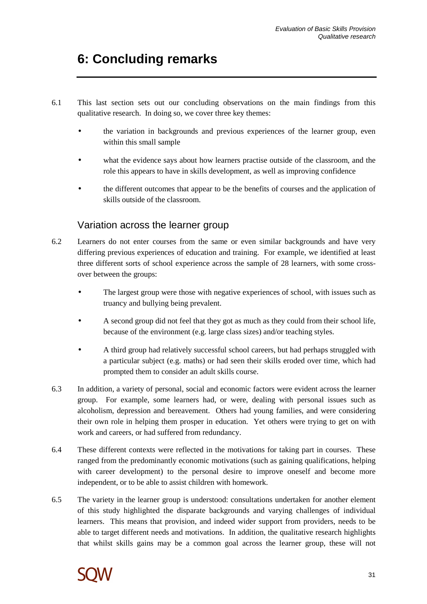# **6: Concluding remarks**

- 6.1 This last section sets out our concluding observations on the main findings from this qualitative research. In doing so, we cover three key themes:
	- the variation in backgrounds and previous experiences of the learner group, even within this small sample
	- what the evidence says about how learners practise outside of the classroom, and the role this appears to have in skills development, as well as improving confidence
	- the different outcomes that appear to be the benefits of courses and the application of skills outside of the classroom.

# Variation across the learner group

- 6.2 Learners do not enter courses from the same or even similar backgrounds and have very differing previous experiences of education and training. For example, we identified at least three different sorts of school experience across the sample of 28 learners, with some crossover between the groups:
	- The largest group were those with negative experiences of school, with issues such as truancy and bullying being prevalent.
	- A second group did not feel that they got as much as they could from their school life, because of the environment (e.g. large class sizes) and/or teaching styles.
	- A third group had relatively successful school careers, but had perhaps struggled with a particular subject (e.g. maths) or had seen their skills eroded over time, which had prompted them to consider an adult skills course.
- 6.3 In addition, a variety of personal, social and economic factors were evident across the learner group. For example, some learners had, or were, dealing with personal issues such as alcoholism, depression and bereavement. Others had young families, and were considering their own role in helping them prosper in education. Yet others were trying to get on with work and careers, or had suffered from redundancy.
- 6.4 These different contexts were reflected in the motivations for taking part in courses. These ranged from the predominantly economic motivations (such as gaining qualifications, helping with career development) to the personal desire to improve oneself and become more independent, or to be able to assist children with homework.
- 6.5 The variety in the learner group is understood: consultations undertaken for another element of this study highlighted the disparate backgrounds and varying challenges of individual learners. This means that provision, and indeed wider support from providers, needs to be able to target different needs and motivations. In addition, the qualitative research highlights that whilst skills gains may be a common goal across the learner group, these will not

![](_page_32_Picture_14.jpeg)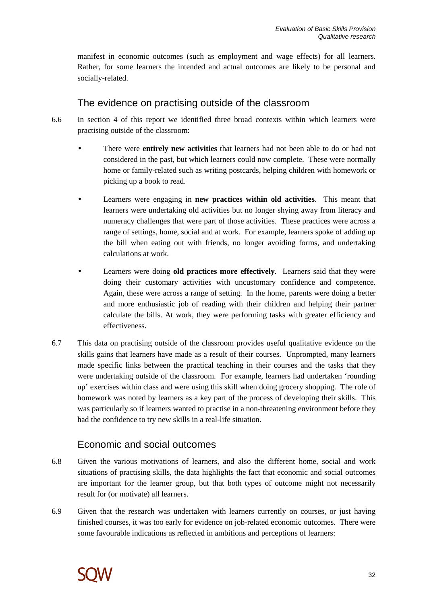manifest in economic outcomes (such as employment and wage effects) for all learners. Rather, for some learners the intended and actual outcomes are likely to be personal and socially-related.

## The evidence on practising outside of the classroom

- 6.6 In section 4 of this report we identified three broad contexts within which learners were practising outside of the classroom:
	- There were **entirely new activities** that learners had not been able to do or had not considered in the past, but which learners could now complete. These were normally home or family-related such as writing postcards, helping children with homework or picking up a book to read.
	- Learners were engaging in **new practices within old activities**. This meant that learners were undertaking old activities but no longer shying away from literacy and numeracy challenges that were part of those activities. These practices were across a range of settings, home, social and at work. For example, learners spoke of adding up the bill when eating out with friends, no longer avoiding forms, and undertaking calculations at work.
	- Learners were doing **old practices more effectively**. Learners said that they were doing their customary activities with uncustomary confidence and competence. Again, these were across a range of setting. In the home, parents were doing a better and more enthusiastic job of reading with their children and helping their partner calculate the bills. At work, they were performing tasks with greater efficiency and effectiveness.
- 6.7 This data on practising outside of the classroom provides useful qualitative evidence on the skills gains that learners have made as a result of their courses. Unprompted, many learners made specific links between the practical teaching in their courses and the tasks that they were undertaking outside of the classroom. For example, learners had undertaken 'rounding up' exercises within class and were using this skill when doing grocery shopping. The role of homework was noted by learners as a key part of the process of developing their skills. This was particularly so if learners wanted to practise in a non-threatening environment before they had the confidence to try new skills in a real-life situation.

## Economic and social outcomes

- 6.8 Given the various motivations of learners, and also the different home, social and work situations of practising skills, the data highlights the fact that economic and social outcomes are important for the learner group, but that both types of outcome might not necessarily result for (or motivate) all learners.
- 6.9 Given that the research was undertaken with learners currently on courses, or just having finished courses, it was too early for evidence on job-related economic outcomes. There were some favourable indications as reflected in ambitions and perceptions of learners:

![](_page_33_Picture_11.jpeg)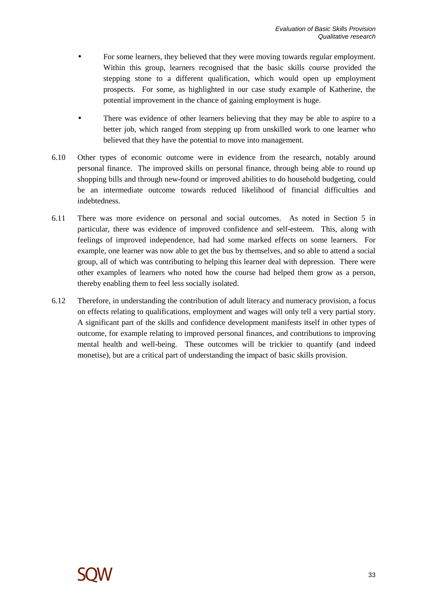- For some learners, they believed that they were moving towards regular employment. Within this group, learners recognised that the basic skills course provided the stepping stone to a different qualification, which would open up employment prospects. For some, as highlighted in our case study example of Katherine, the potential improvement in the chance of gaining employment is huge.
- There was evidence of other learners believing that they may be able to aspire to a better job, which ranged from stepping up from unskilled work to one learner who believed that they have the potential to move into management.
- 6.10 Other types of economic outcome were in evidence from the research, notably around personal finance. The improved skills on personal finance, through being able to round up shopping bills and through new-found or improved abilities to do household budgeting, could be an intermediate outcome towards reduced likelihood of financial difficulties and indebtedness.
- 6.11 There was more evidence on personal and social outcomes. As noted in Section 5 in particular, there was evidence of improved confidence and self-esteem. This, along with feelings of improved independence, had had some marked effects on some learners. For example, one learner was now able to get the bus by themselves, and so able to attend a social group, all of which was contributing to helping this learner deal with depression. There were other examples of learners who noted how the course had helped them grow as a person, thereby enabling them to feel less socially isolated.
- 6.12 Therefore, in understanding the contribution of adult literacy and numeracy provision, a focus on effects relating to qualifications, employment and wages will only tell a very partial story. A significant part of the skills and confidence development manifests itself in other types of outcome, for example relating to improved personal finances, and contributions to improving mental health and well-being. These outcomes will be trickier to quantify (and indeed monetise), but are a critical part of understanding the impact of basic skills provision.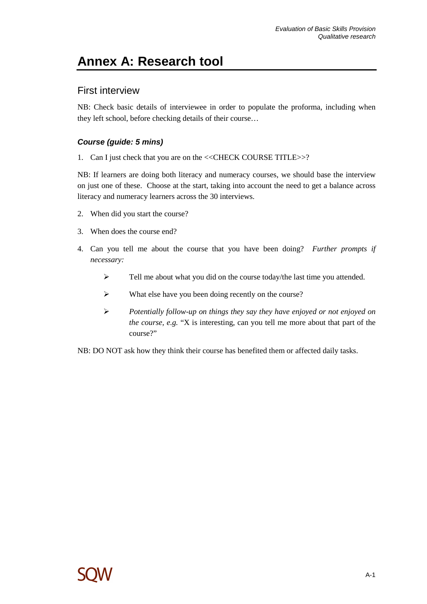# **Annex A: Research tool**

### First interview

NB: Check basic details of interviewee in order to populate the proforma, including when they left school, before checking details of their course…

#### **Course (guide: 5 mins)**

1. Can I just check that you are on the <<CHECK COURSE TITLE>>?

NB: If learners are doing both literacy and numeracy courses, we should base the interview on just one of these. Choose at the start, taking into account the need to get a balance across literacy and numeracy learners across the 30 interviews.

- 2. When did you start the course?
- 3. When does the course end?
- 4. Can you tell me about the course that you have been doing? *Further prompts if necessary:*
	- Fell me about what you did on the course today/the last time you attended.
	- What else have you been doing recently on the course?
	- *Potentially follow-up on things they say they have enjoyed or not enjoyed on the course, e.g.* "X is interesting, can you tell me more about that part of the course?"

NB: DO NOT ask how they think their course has benefited them or affected daily tasks.

![](_page_35_Picture_14.jpeg)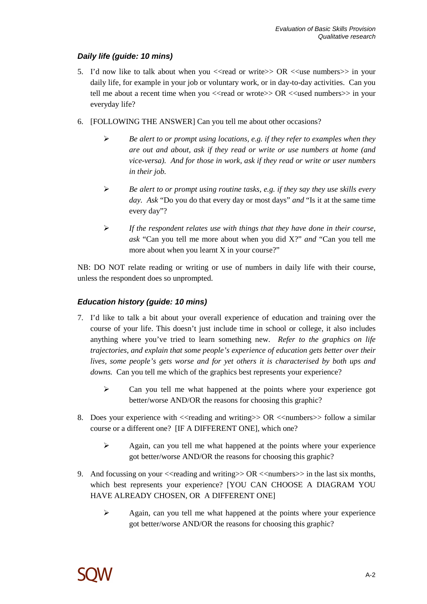### **Daily life (guide: 10 mins)**

- 5. I'd now like to talk about when you  $\ll$ read or write $\gg$  OR  $\ll$ use numbers $\gg$  in your daily life, for example in your job or voluntary work, or in day-to-day activities. Can you tell me about a recent time when you  $\langle$  read or wrote $\rangle$  OR  $\langle$  used numbers $\rangle$  in your everyday life?
- 6. [FOLLOWING THE ANSWER] Can you tell me about other occasions?
	- *Be alert to or prompt using locations, e.g. if they refer to examples when they are out and about, ask if they read or write or use numbers at home (and vice-versa). And for those in work, ask if they read or write or user numbers in their job.*
	- *Be alert to or prompt using routine tasks, e.g. if they say they use skills every day. Ask* "Do you do that every day or most days" *and* "Is it at the same time every day"?
	- *If the respondent relates use with things that they have done in their course, ask* "Can you tell me more about when you did X?" *and* "Can you tell me more about when you learnt X in your course?"

NB: DO NOT relate reading or writing or use of numbers in daily life with their course, unless the respondent does so unprompted.

#### **Education history (guide: 10 mins)**

- 7. I'd like to talk a bit about your overall experience of education and training over the course of your life. This doesn't just include time in school or college, it also includes anything where you've tried to learn something new. *Refer to the graphics on life trajectories, and explain that some people's experience of education gets better over their lives, some people's gets worse and for yet others it is characterised by both ups and downs.* Can you tell me which of the graphics best represents your experience?
	- $\triangleright$  Can you tell me what happened at the points where your experience got better/worse AND/OR the reasons for choosing this graphic?
- 8. Does your experience with  $\leq$  reading and writing  $\geq$  OR  $\leq$  numbers  $\geq$  follow a similar course or a different one? [IF A DIFFERENT ONE], which one?
	- $\triangleright$  Again, can you tell me what happened at the points where your experience got better/worse AND/OR the reasons for choosing this graphic?
- 9. And focussing on your  $\leq$  reading and writing $\geq$  OR  $\leq$  numbers $\geq$  in the last six months, which best represents your experience? [YOU CAN CHOOSE A DIAGRAM YOU HAVE ALREADY CHOSEN, OR A DIFFERENT ONE]
	- $\triangleright$  Again, can you tell me what happened at the points where your experience got better/worse AND/OR the reasons for choosing this graphic?

![](_page_36_Picture_15.jpeg)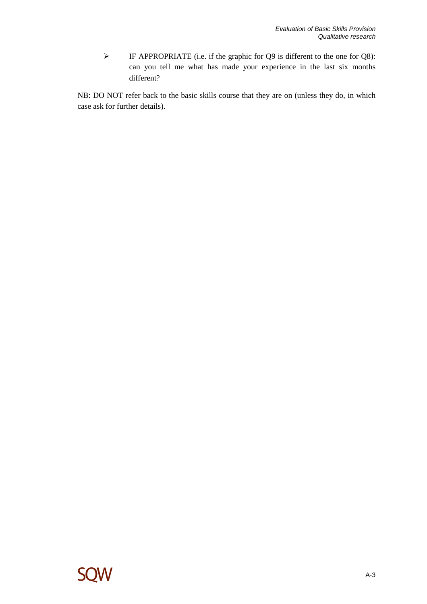$\triangleright$  IF APPROPRIATE (i.e. if the graphic for Q9 is different to the one for Q8): can you tell me what has made your experience in the last six months different?

NB: DO NOT refer back to the basic skills course that they are on (unless they do, in which case ask for further details).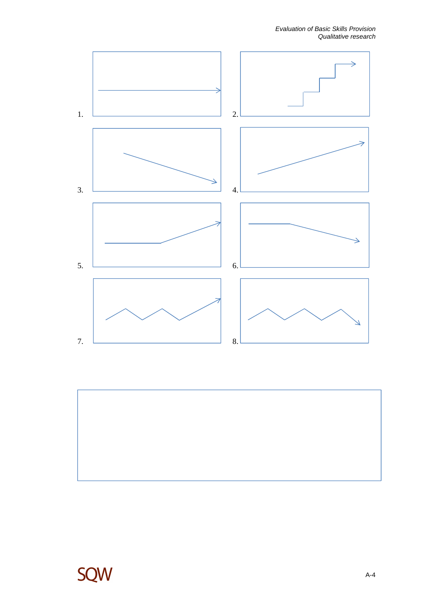![](_page_38_Figure_1.jpeg)

![](_page_38_Picture_2.jpeg)

![](_page_38_Picture_3.jpeg)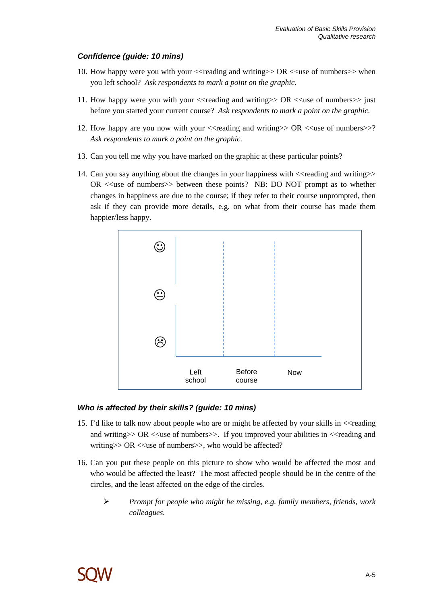#### **Confidence (guide: 10 mins)**

- 10. How happy were you with your  $\le$  reading and writing  $\ge$  OR  $\le$  use of numbers  $\ge$  when you left school? *Ask respondents to mark a point on the graphic.*
- 11. How happy were you with your <<reading and writing>> OR <<use of numbers>> just before you started your current course? *Ask respondents to mark a point on the graphic.*
- 12. How happy are you now with your  $\langle$ reading and writing>> OR  $\langle$  and  $\langle$  numbers>>? *Ask respondents to mark a point on the graphic.*
- 13. Can you tell me why you have marked on the graphic at these particular points?
- 14. Can you say anything about the changes in your happiness with <<reading and writing>>  $OR \ll$ use of numbers $\gg$  between these points? NB: DO NOT prompt as to whether changes in happiness are due to the course; if they refer to their course unprompted, then ask if they can provide more details, e.g. on what from their course has made them happier/less happy.

![](_page_39_Figure_7.jpeg)

#### **Who is affected by their skills? (guide: 10 mins)**

- 15. I'd like to talk now about people who are or might be affected by your skills in <<reading and writing  $>$  OR <<use of numbers  $>$ . If you improved your abilities in  $\lt$  reading and writing $>>$  OR  $<<$ use of numbers $>>$ , who would be affected?
- 16. Can you put these people on this picture to show who would be affected the most and who would be affected the least? The most affected people should be in the centre of the circles, and the least affected on the edge of the circles.
	- *Prompt for people who might be missing, e.g. family members, friends, work colleagues.*

![](_page_39_Picture_12.jpeg)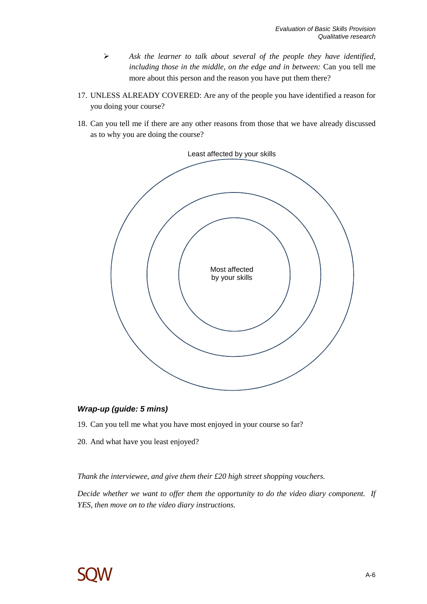- *Ask the learner to talk about several of the people they have identified, including those in the middle, on the edge and in between:* Can you tell me more about this person and the reason you have put them there?
- 17. UNLESS ALREADY COVERED: Are any of the people you have identified a reason for you doing your course?
- 18. Can you tell me if there are any other reasons from those that we have already discussed as to why you are doing the course?

![](_page_40_Figure_4.jpeg)

#### **Wrap-up (guide: 5 mins)**

- 19. Can you tell me what you have most enjoyed in your course so far?
- 20. And what have you least enjoyed?

*Thank the interviewee, and give them their £20 high street shopping vouchers.* 

*Decide whether we want to offer them the opportunity to do the video diary component. If YES, then move on to the video diary instructions.*

![](_page_40_Picture_10.jpeg)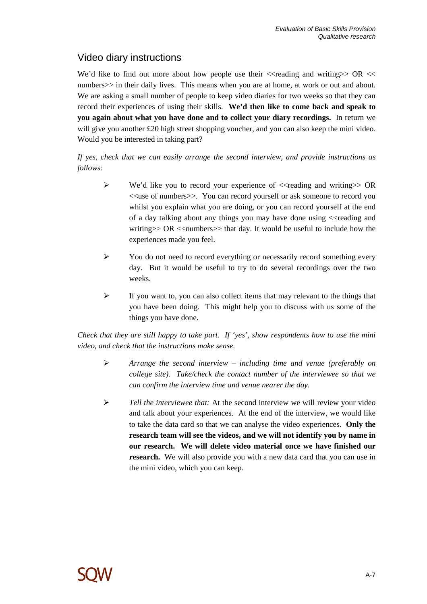# Video diary instructions

We'd like to find out more about how people use their  $\prec$ reading and writing  $\gt$  OR  $\lt$ numbers>> in their daily lives. This means when you are at home, at work or out and about. We are asking a small number of people to keep video diaries for two weeks so that they can record their experiences of using their skills. **We'd then like to come back and speak to you again about what you have done and to collect your diary recordings.** In return we will give you another £20 high street shopping voucher, and you can also keep the mini video. Would you be interested in taking part?

*If yes, check that we can easily arrange the second interview, and provide instructions as follows:* 

- $\triangleright$  We'd like you to record your experience of  $\triangleleft$  reading and writing  $\triangleright$  OR <<use of numbers>>. You can record yourself or ask someone to record you whilst you explain what you are doing, or you can record yourself at the end of a day talking about any things you may have done using <<reading and writing  $>> OR <$  << numbers  $>>$  that day. It would be useful to include how the experiences made you feel.
- $\triangleright$  You do not need to record everything or necessarily record something every day. But it would be useful to try to do several recordings over the two weeks.
- $\triangleright$  If you want to, you can also collect items that may relevant to the things that you have been doing. This might help you to discuss with us some of the things you have done.

*Check that they are still happy to take part. If 'yes', show respondents how to use the mini video, and check that the instructions make sense.* 

- *Arrange the second interview including time and venue (preferably on college site). Take/check the contact number of the interviewee so that we can confirm the interview time and venue nearer the day.*
- *Tell the interviewee that:* At the second interview we will review your video and talk about your experiences. At the end of the interview, we would like to take the data card so that we can analyse the video experiences. **Only the research team will see the videos, and we will not identify you by name in our research. We will delete video material once we have finished our research.** We will also provide you with a new data card that you can use in the mini video, which you can keep.

![](_page_41_Picture_10.jpeg)